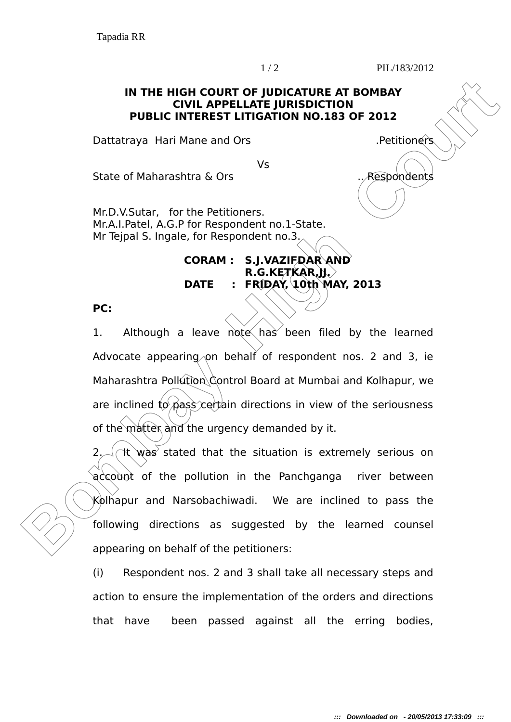1 / 2 PIL/183/2012

## **IN THE HIGH COURT OF JUDICATURE AT BOMBAY CIVIL APPELLATE JURISDICTION PUBLIC INTEREST LITIGATION NO.183 OF 2012**

Dattatraya Hari Mane and Ors .Petitioners

Vs

State of Maharashtra & Ors .. Respondents

Mr.D.V.Sutar, for the Petitioners. Mr.A.I.Patel, A.G.P for Respondent no.1-State. Mr Tejpal S. Ingale, for Respondent no.3.

## **CORAM : S.J.VAZIFDAR AND R.G.KETKAR,JJ. DATE : FRIDAY, 10th MAY, 2013**

**PC:**

**IN THE HIGH COURT OF JUDICATURE AT BOMBAY**<br> **PUBLIC INTEREST LITIGATION NO.183 OF 2012**<br> **BOMBAY**<br> **BOMBAY**<br> **BOMBAY**<br> **BOMBAY**<br> **BOMBAY**<br> **BOMBAY**<br> **BOMBAY**<br> **BOMBAY**<br> **BOMBAY**<br> **BOMBAY**<br> **BOMBAY**<br> **BOMBAY**<br> **BOMBAY**<br> **B** 1. Although a leave note has been filed by the learned Advocate appearing on behalf of respondent nos. 2 and 3, ie Maharashtra Pollution Control Board at Mumbai and Kolhapur, we are inclined to pass certain directions in view of the seriousness of the matter and the urgency demanded by it.

 $2\sim$  (It was stated that the situation is extremely serious on account of the pollution in the Panchganga river between Kolhapur and Narsobachiwadi. We are inclined to pass the following directions as suggested by the learned counsel appearing on behalf of the petitioners:

(i) Respondent nos. 2 and 3 shall take all necessary steps and action to ensure the implementation of the orders and directions that have been passed against all the erring bodies,